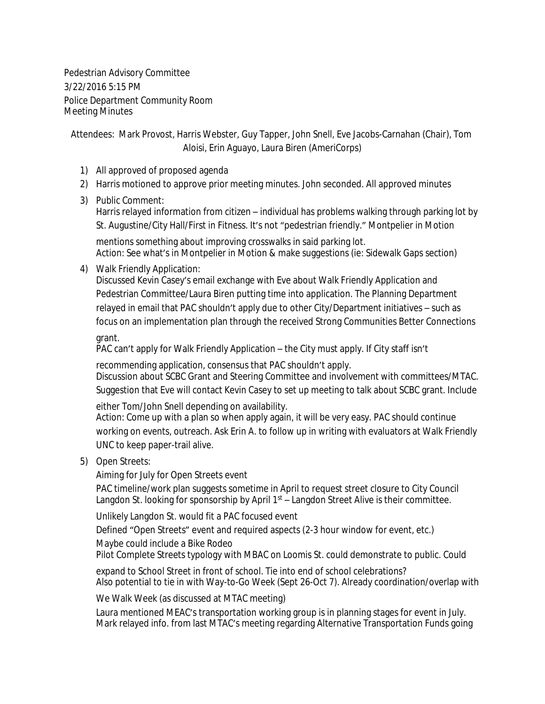Pedestrian Advisory Committee 3/22/2016 5:15 PM Police Department Community Room Meeting Minutes

Attendees: Mark Provost, Harris Webster, Guy Tapper, John Snell, Eve Jacobs-Carnahan (Chair), Tom Aloisi, Erin Aguayo, Laura Biren (AmeriCorps)

- 1) All approved of proposed agenda
- 2) Harris motioned to approve prior meeting minutes. John seconded. All approved minutes
- 3) Public Comment:

Harris relayed information from citizen – individual has problems walking through parking lot by St. Augustine/City Hall/First in Fitness. It's not "pedestrian friendly." Montpelier in Motion

mentions something about improving crosswalks in said parking lot. Action: See what's in Montpelier in Motion & make suggestions (ie: Sidewalk Gaps section)

4) Walk Friendly Application:

Discussed Kevin Casey's email exchange with Eve about Walk Friendly Application and Pedestrian Committee/Laura Biren putting time into application. The Planning Department relayed in email that PAC shouldn't apply due to other City/Department initiatives – such as focus on an implementation plan through the received Strong Communities Better Connections

grant.

PAC can't apply for Walk Friendly Application – the City must apply. If City staff isn't

recommending application, consensus that PAC shouldn't apply. Discussion about SCBC Grant and Steering Committee and involvement with committees/MTAC. Suggestion that Eve will contact Kevin Casey to set up meeting to talk about SCBC grant. Include

either Tom/John Snell depending on availability. Action: Come up with a plan so when apply again, it will be very easy. PAC should continue working on events, outreach. Ask Erin A. to follow up in writing with evaluators at Walk Friendly UNC to keep paper-trail alive.

5) Open Streets:

Aiming for July for Open Streets event

PAC timeline/work plan suggests sometime in April to request street closure to City Council Langdon St. looking for sponsorship by April  $1<sup>st</sup> -$  Langdon Street Alive is their committee.

Unlikely Langdon St. would fit a PAC focused event

Defined "Open Streets" event and required aspects (2-3 hour window for event, etc.)

Maybe could include a Bike Rodeo

Pilot Complete Streets typology with MBAC on Loomis St. could demonstrate to public. Could

expand to School Street in front of school. Tie into end of school celebrations? Also potential to tie in with Way-to-Go Week (Sept 26-Oct 7). Already coordination/overlap with

We Walk Week (as discussed at MTAC meeting)

Laura mentioned MEAC's transportation working group is in planning stages for event in July. Mark relayed info. from last MTAC's meeting regarding Alternative Transportation Funds going